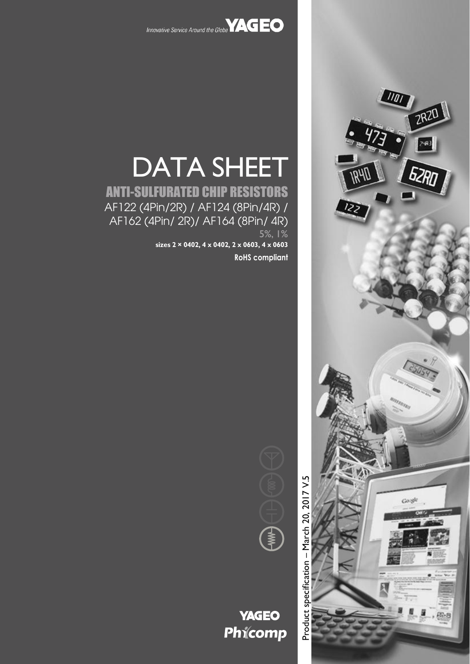



# DATA SHEET

## ANTI-SULFURATED CHIP RESISTORS AF122 (4Pin/2R) / AF124 (8Pin/4R) / AF162 (4Pin/ 2R)/ AF164 (8Pin/ 4R) 5%, 1%

**sizes 2 × 0402, 4 x 0402, 2 x 0603, 4 x 0603**

**RoHS compliant**

Product specification - March 20, 2017 V.5 – March 20, 2017 V.5Product specification



**YAGEO** Phicomp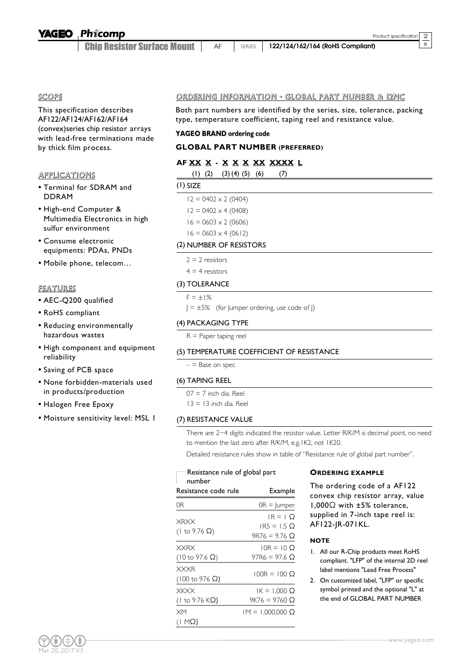Chin Resistor Surface Mount | AF | SERIES | 122/124/162/164 (RoHS Compliant)

#### SCOPE

This specification describes AF122/AF124/AF162/AF164 (convex)series chip resistor arrays with lead-free terminations made by thick film process.

#### APPLICATIONS

- Terminal for SDRAM and DDRAM
- High-end Computer & Multimedia Electronics in high sulfur environment
- Consume electronic equipments: PDAs, PNDs
- Mobile phone, telecom…

#### FEATURES

- AEC-Q200 qualified
- RoHS compliant
- Reducing environmentally hazardous wastes
- High component and equipment reliability
- Saving of PCB space
- None forbidden-materials used in products/production
- Halogen Free Epoxy
- Moisture sensitivity level: MSL 1

#### ORDERING INFORMATION - GLOBAL PART NUMBER & 12NC

Both part numbers are identified by the series, size, tolerance, packing type, temperature coefficient, taping reel and resistance value.

#### **YAGEO BRAND ordering code**

#### **GLOBAL PART NUMBER (PREFERRED)**

#### **AF XX X - X X X XX XXXX L**

|  | $(1)$ $(2)$ $(3)$ $(4)$ $(5)$ $(6)$ |  | (7) |
|--|-------------------------------------|--|-----|
|--|-------------------------------------|--|-----|

|--|--|

| $12 = 0402 \times 2 (0404)$ |
|-----------------------------|
| $12 = 0402 \times 4 (0408)$ |
| $16 = 0603 \times 2 (0606)$ |
| $16 = 0603 \times 4 (0612)$ |

#### (2) NUMBER OF RESISTORS

| esistors |
|----------|
|----------|

 $4 = 4$  resistors

#### (3) TOLERANCE

 $F = \pm 1\%$ 

 $J = \pm 5\%$  (for Jumper ordering, use code of J)

#### (4) PACKAGING TYPE

 $R =$  Paper taping reel

#### (5) TEMPERATURE COEFFICIENT OF RESISTANCE

 $-$  = Base on spec

#### (6) TAPING REEL

| $07 = 7$ inch dia. Reel  |
|--------------------------|
| $13 = 13$ inch dia. Reel |

#### (7) RESISTANCE VALUE

There are 2~4 digits indicated the resistor value. Letter R/K/M is decimal point, no need to mention the last zero after R/K/M, e.g.1K2, not 1K20.

Detailed resistance rules show in table of "Resistance rule of global part number".

| $-$ Resistance rule of global part            |                                                              | <b>ORDERING EXAMPLE</b>                                                      |
|-----------------------------------------------|--------------------------------------------------------------|------------------------------------------------------------------------------|
| number<br>Example<br>Resistance code rule     |                                                              | The ordering code of a AF122<br>convex chip resistor array, valu             |
| 0R                                            | $OR =  $ umper                                               | $1,000\Omega$ with $\pm 5\%$ tolerance,                                      |
| <b>XRXX</b><br>$(1 to 9.76 \Omega)$           | $IR = 1$ O<br>$IR5 = 1.5$ $\Omega$<br>$9R76 = 9.76$ $\Omega$ | supplied in 7-inch tape reel is:<br>AF122-JR-071KL.<br><b>NOTE</b>           |
| <b>XXRX</b><br>$(10 \text{ to } 97.6 \Omega)$ | $10R = 10 \Omega$<br>$97R6 = 97.6 \Omega$                    | 1. All our R-Chip products meet RoH!<br>compliant. "LFP" of the internal 2D  |
| <b>XXXR</b><br>$(100 \text{ to } 976 \Omega)$ | $100R = 100 \Omega$                                          | label mentions "Lead Free Process"<br>2. On customized label, "LFP" or speci |
| <b>XKXX</b><br>(1 to 9.76 KΩ)                 | $IK = 1,000 \Omega$<br>$9K76 = 9760 \Omega$                  | symbol printed and the optional "L"<br>the end of GLOBAL PART NUMBE          |
| <b>XM</b><br>$(1 M\Omega)$                    | $IM = 1,000,000$ Ω                                           |                                                                              |

#### **ORDERING EXAMPLE**

convex chip resistor array, value 1,000Ω with ±5% tolerance, supplied in 7-inch tape reel is: AF122-JR-071KL.

#### **NOTE**

- 1. All our R-Chip products meet RoHS compliant. "LFP" of the internal 2D reel label mentions "Lead Free Process"
- 2. On customized label, "LFP" or specific symbol printed and the optional "L" at the end of GLOBAL PART NUMBER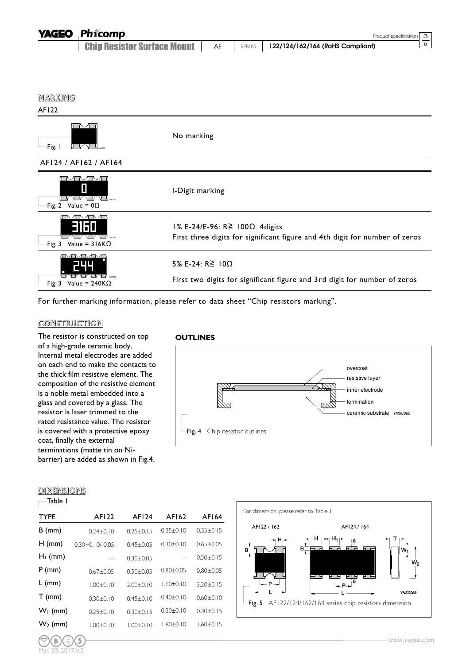| <b>YAGEO</b> Phicomp               |    |               | Product specification 3          |  |
|------------------------------------|----|---------------|----------------------------------|--|
| <b>Chip Resistor Surface Mount</b> | AF | <b>SERIES</b> | 122/124/162/164 (RoHS Compliant) |  |

#### MARKING

#### AF122



For further marking information, please refer to data sheet "Chip resistors marking".

#### **CONSTRUCTION**

The resistor is constructed on top of a high-grade ceramic body. Internal metal electrodes are added on each end to make the contacts to the thick film resistive element. The composition of the resistive element is a noble metal embedded into a glass and covered by a glass. The resistor is laser trimmed to the rated resistance value. The resistor is covered with a protective epoxy coat, finally the external terminations (matte tin on Nibarrier) are added as shown in Fig.4.

#### **OUTLINES**



#### DIMENSIONS

Mar. 20, 2017 V.5

Table 1  $\Gamma$ 

| <b>TYPE</b> | AF122               | AF124           | AF162           | AF164           |
|-------------|---------------------|-----------------|-----------------|-----------------|
| $B$ (mm)    | $0.24 + 0.10$       | $0.25 + 0.15$   | $0.35 \pm 0.10$ | $0.35 \pm 0.15$ |
| $H$ (mm)    | $0.30 + 0.10/-0.05$ | $0.45 \pm 0.05$ | $0.30 \pm 0.10$ | $0.65 + 0.05$   |
| $H_1$ (mm)  |                     | $0.30 \pm 0.05$ |                 | $0.50 \pm 0.15$ |
| $P$ (mm)    | $0.67 + 0.05$       | $0.50 \pm 0.05$ | $0.80 \pm 0.05$ | $0.80 + 0.05$   |
| $L$ (mm)    | $1.00 + 0.10$       | $2.00+0.10$     | $1.60 \pm 0.10$ | $3.20 + 0.15$   |
| $T$ (mm)    | $0.30 + 0.10$       | $0.45 + 0.10$   | $0.40 \pm 0.10$ | $0.60 + 0.10$   |
| $W_1$ (mm)  | $0.25 + 0.10$       | $0.30 + 0.15$   | $0.30 \pm 0.10$ | $0.30 + 0.15$   |
| $W_2$ (mm)  | $1.00 \pm 0.10$     | $1.00 \pm 0.10$ | $1.60 \pm 0.10$ | $1.60 \pm 0.15$ |
|             |                     |                 |                 |                 |

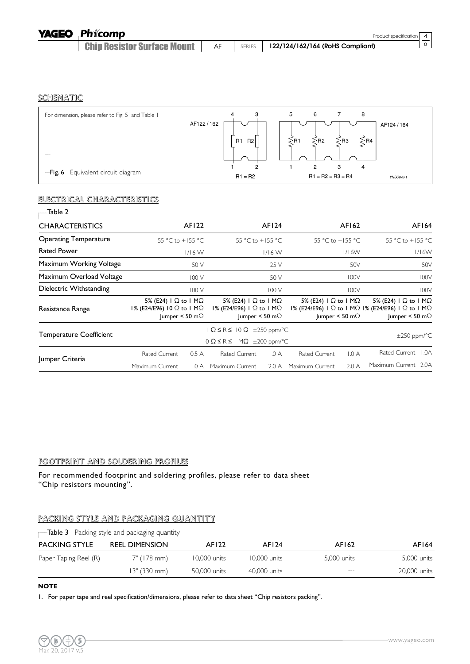#### **SCHEMATIC**

| For dimension, please refer to Fig. 5 and Table I | 3<br>4                            | 8<br>5<br>6                            |           |
|---------------------------------------------------|-----------------------------------|----------------------------------------|-----------|
|                                                   | AF122/162                         |                                        | AF124/164 |
|                                                   | R <sub>2</sub><br>IR <sub>1</sub> | $-B4$<br>·R <sub>2</sub><br>∗R3<br>∕R1 |           |
|                                                   |                                   |                                        |           |
|                                                   |                                   | 2<br>З<br>4                            |           |
| <b>Fig. 6</b> Equivalent circuit diagram          | $R1 = R2$                         | $R1 = R2 = R3 = R4$                    | YNSC078-1 |

#### ELECTRICAL CHARACTERISTICS

| Table 2                        |                                                                                                        |       |                                                                                                                        |          |                                               |                            |                                                                                                                                                              |
|--------------------------------|--------------------------------------------------------------------------------------------------------|-------|------------------------------------------------------------------------------------------------------------------------|----------|-----------------------------------------------|----------------------------|--------------------------------------------------------------------------------------------------------------------------------------------------------------|
| <b>CHARACTERISTICS</b>         |                                                                                                        | AF122 |                                                                                                                        | AF124    |                                               | AF162                      | AF164                                                                                                                                                        |
| <b>Operating Temperature</b>   | $-55$ °C to +155 °C                                                                                    |       | $-55$ °C to +155 °C                                                                                                    |          | $-55$ °C to +155 °C                           |                            | $-55$ °C to +155 °C                                                                                                                                          |
| <b>Rated Power</b>             | $1/16$ W                                                                                               |       |                                                                                                                        | $1/16$ W |                                               | 1/16W                      | 1/16W                                                                                                                                                        |
| Maximum Working Voltage        | 50 V                                                                                                   |       |                                                                                                                        | 25 V     |                                               | 50V                        | 50V                                                                                                                                                          |
| Maximum Overload Voltage       | 100V                                                                                                   |       |                                                                                                                        | 50 V     |                                               | 100V                       | 100V                                                                                                                                                         |
| Dielectric Withstanding        |                                                                                                        | 100V  |                                                                                                                        | 100V     |                                               | 100V                       | 100V                                                                                                                                                         |
| Resistance Range               | 5% (E24) $\vert$ $\Omega$ to $\vert$ M $\Omega$<br>I% (E24/E96) 10 Ω to 1 MΩ<br>Jumper < 50 m $\Omega$ |       | 5% (E24) $\vert$ $\Omega$ to $\vert$ M $\Omega$<br>$1\%$ (E24/E96) $1 \Omega$ to $1 M\Omega$<br>Jumper < 50 m $\Omega$ |          | 5% (E24) $\mid$ $\Omega$ to $\mid$ M $\Omega$ | Jumper < 50 m $\Omega$     | 5% (E24) $\vert$ $\Omega$ to $\vert$ M $\Omega$<br>I% (E24/E96) I $\Omega$ to I M $\Omega$ I% (E24/E96) I $\Omega$ to I M $\Omega$<br>Jumper < 50 m $\Omega$ |
| <b>Temperature Coefficient</b> | $\Omega \le R \le 10 \Omega$ ±250 ppm/°C<br>$10 \Omega \le R \le 1$ M $\Omega$ $\pm$ 200 ppm/°C        |       |                                                                                                                        |          |                                               | $\pm 250$ ppm/ $\degree$ C |                                                                                                                                                              |
|                                | <b>Rated Current</b>                                                                                   | 0.5A  | Rated Current                                                                                                          | 1.0A     | <b>Rated Current</b>                          | 1.0A                       | Rated Current<br>1.0A                                                                                                                                        |
| Jumper Criteria                | Maximum Current                                                                                        | 1.0 A | Maximum Current                                                                                                        | 2.0 A    | Maximum Current                               | 2.0A                       | Maximum Current 2.0A                                                                                                                                         |

#### FOOTPRINT AND SOLDERING PROFILES

For recommended footprint and soldering profiles, please refer to data sheet "Chip resistors mounting".

#### PACKING STYLE AND PACKAGING QUANTITY

|                       | $\Box$ Table 3 Packing style and packaging quantity |              |              |             |              |
|-----------------------|-----------------------------------------------------|--------------|--------------|-------------|--------------|
| <b>PACKING STYLE</b>  | <b>REEL DIMENSION</b>                               | AF122        | AF124        | AF162       | AF164        |
| Paper Taping Reel (R) | 7" (178 mm)                                         | 10,000 units | 10,000 units | 5.000 units | 5,000 units  |
|                       | 13" (330 mm)                                        | 50,000 units | 40,000 units | $---$       | 20,000 units |

#### **NOTE**

1. For paper tape and reel specification/dimensions, please refer to data sheet "Chip resistors packing".

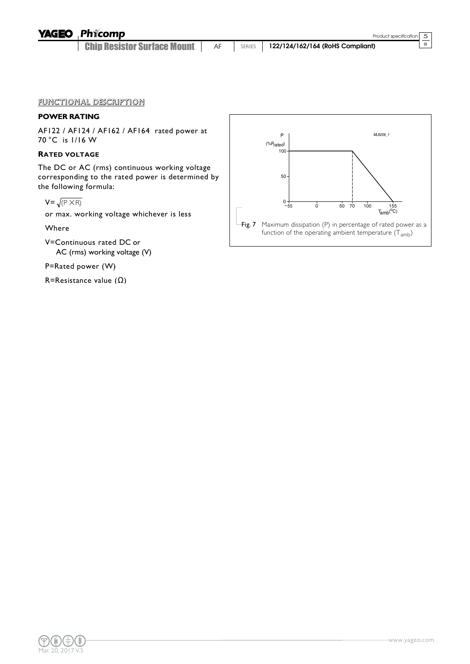#### **YAGEO** Phicomp

**Chip Resistor Surface Mount** | AF | SERIES | 122/124/162/164 (RoHS Compliant)

#### FUNCTIONAL DESCRIPTION

#### **POWER RATING**

AF122 / AF124 / AF162 / AF164 rated power at 70 °C is 1/16 W

#### **RATED VOLTAGE**

The DC or AC (rms) continuous working voltage corresponding to the rated power is determined by the following formula:

$$
V = \sqrt{(P \times R)}
$$

or max. working voltage whichever is less

Where

V=Continuous rated DC or AC (rms) working voltage (V)

P=Rated power (W)

R=Resistance value (Ω)

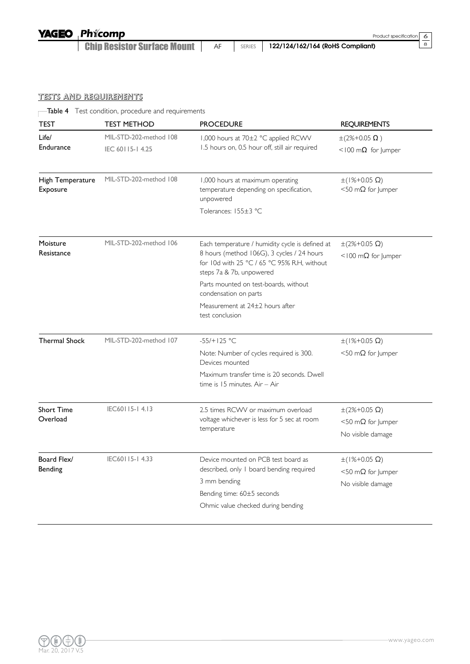**YAGEO** Phicomp

**Chip Resistor Surface Mount** AF SERIES 122/124/162/164 (RoHS Compliant)

 $rac{6}{8}$ 

### TESTS AND REQUIREMENTS

Table 4 Test condition, procedure and requirements

| <b>TEST</b>                  | <b>TEST METHOD</b>                                    | <b>PROCEDURE</b>                                                                                                                                                         | <b>REQUIREMENTS</b>                                      |
|------------------------------|-------------------------------------------------------|--------------------------------------------------------------------------------------------------------------------------------------------------------------------------|----------------------------------------------------------|
| Life/                        | MIL-STD-202-method 108                                | 1,000 hours at 70±2 °C applied RCWV                                                                                                                                      | $\pm (2\% + 0.05 \Omega)$                                |
| <b>Endurance</b>             | IEC 60115-14.25                                       | 1.5 hours on, 0.5 hour off, still air required                                                                                                                           | <100 m $\Omega$ for Jumper                               |
| High Temperature<br>Exposure | MIL-STD-202-method 108                                | 1,000 hours at maximum operating<br>temperature depending on specification,<br>unpowered                                                                                 | $\pm(1\% + 0.05 \Omega)$<br>$<$ 50 m $\Omega$ for Jumper |
|                              |                                                       | Tolerances: 155±3 °C                                                                                                                                                     |                                                          |
| Moisture<br>Resistance       | MIL-STD-202-method 106                                | Each temperature / humidity cycle is defined at<br>8 hours (method 106G), 3 cycles / 24 hours<br>for 10d with 25 °C / 65 °C 95% R.H, without<br>steps 7a & 7b, unpowered | $\pm (2\% + 0.05 \Omega)$<br><100 m $\Omega$ for Jumper  |
|                              |                                                       | Parts mounted on test-boards, without<br>condensation on parts                                                                                                           |                                                          |
|                              |                                                       | Measurement at 24±2 hours after<br>test conclusion                                                                                                                       |                                                          |
| <b>Thermal Shock</b>         | MIL-STD-202-method 107                                | $-55/+125 °C$                                                                                                                                                            | $\pm(1\% + 0.05 \Omega)$                                 |
|                              |                                                       | Note: Number of cycles required is 300.<br>Devices mounted                                                                                                               | $<$ 50 m $\Omega$ for Jumper                             |
|                              |                                                       | Maximum transfer time is 20 seconds, Dwell<br>time is 15 minutes. Air - Air                                                                                              |                                                          |
| <b>Short Time</b>            | IEC60115-14.13                                        | 2.5 times RCWV or maximum overload                                                                                                                                       | $\pm (2\% + 0.05 \Omega)$                                |
| Overload                     |                                                       | voltage whichever is less for 5 sec at room<br>temperature                                                                                                               | $<$ 50 m $\Omega$ for Jumper                             |
|                              |                                                       |                                                                                                                                                                          | No visible damage                                        |
| Board Flex/                  | IEC60115-14.33<br>Device mounted on PCB test board as |                                                                                                                                                                          | $\pm(1\% + 0.05 \Omega)$                                 |
| <b>Bending</b>               |                                                       | described, only I board bending required                                                                                                                                 | $<$ 50 m $\Omega$ for Jumper                             |
|                              |                                                       | 3 mm bending                                                                                                                                                             | No visible damage                                        |
|                              |                                                       | Bending time: 60±5 seconds<br>Ohmic value checked during bending                                                                                                         |                                                          |
|                              |                                                       |                                                                                                                                                                          |                                                          |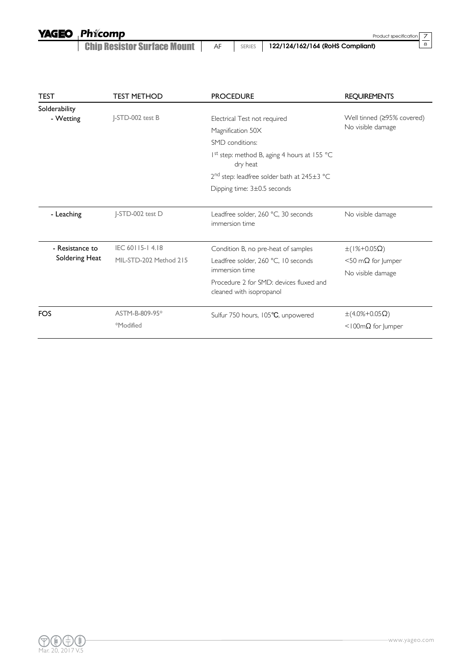**YAGEO** Phicomp

**Chip Resistor Surface Mount** AF SERIES 122/124/162/164 (RoHS Compliant)

 $\frac{7}{8}$ 

| <b>TEST</b>                       | <b>TEST METHOD</b>     | <b>PROCEDURE</b>                                                    | <b>REQUIREMENTS</b>                             |
|-----------------------------------|------------------------|---------------------------------------------------------------------|-------------------------------------------------|
| Solderability                     |                        |                                                                     |                                                 |
| - Wetting                         | J-STD-002 test B       | Electrical Test not required                                        | Well tinned (≥95% covered)<br>No visible damage |
|                                   |                        | Magnification 50X                                                   |                                                 |
|                                   |                        | SMD conditions:                                                     |                                                 |
|                                   |                        | 1 <sup>st</sup> step: method B, aging 4 hours at 155 °C<br>dry heat |                                                 |
|                                   |                        | $2nd$ step: leadfree solder bath at 245 $\pm$ 3 °C                  |                                                 |
|                                   |                        | Dipping time: $3\pm0.5$ seconds                                     |                                                 |
|                                   |                        |                                                                     |                                                 |
| - Leaching                        | J-STD-002 test D       | Leadfree solder, 260 °C, 30 seconds<br>immersion time               | No visible damage                               |
| - Resistance to<br>Soldering Heat | IEC 60115-14.18        | Condition B, no pre-heat of samples                                 | $\pm(1\% + 0.05\Omega)$                         |
|                                   | MIL-STD-202 Method 215 | Leadfree solder, 260 °C, 10 seconds<br>immersion time               | $<$ 50 m $\Omega$ for Jumper                    |
|                                   |                        |                                                                     | No visible damage                               |
|                                   |                        | Procedure 2 for SMD: devices fluxed and<br>cleaned with isopropanol |                                                 |
| <b>FOS</b>                        | ASTM-B-809-95*         | Sulfur 750 hours, 105°C, unpowered                                  | $\pm$ (4.0%+0.05 $\Omega$ )                     |
|                                   | *Modified              |                                                                     | <100m $\Omega$ for Jumper                       |